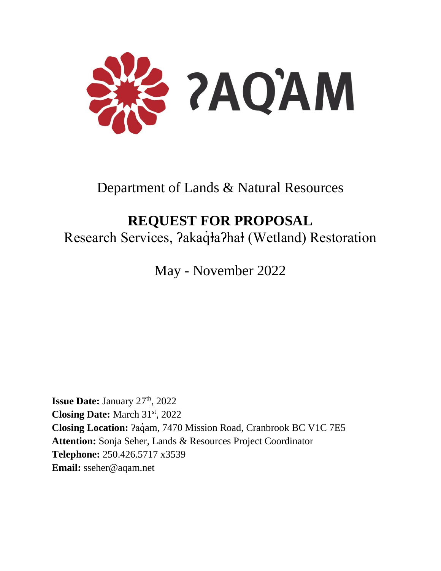

Department of Lands & Natural Resources

# **REQUEST FOR PROPOSAL**

Research Services, ?akaq̊ła?hał (Wetland) Restoration

May - November 2022

**Issue Date:** January 27<sup>th</sup>, 2022 **Closing Date:** March 31st, 2022 **Closing Location:** *Pagam, 7470 Mission Road, Cranbrook BC V1C 7E5* **Attention:** Sonja Seher, Lands & Resources Project Coordinator **Telephone:** 250.426.5717 x3539 **Email:** sseher@aqam.net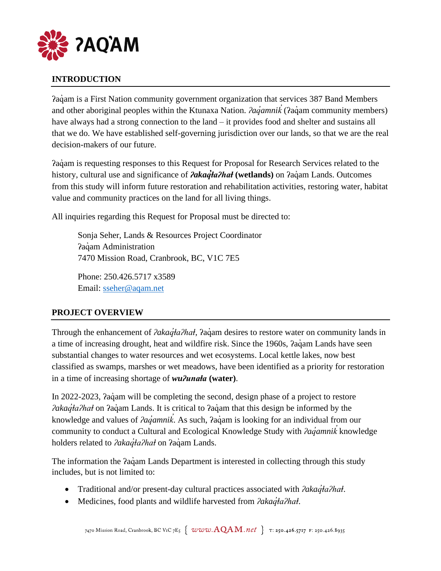

## **INTRODUCTION**

Paqam is a First Nation community government organization that services 387 Band Members and other aboriginal peoples within the Ktunaxa Nation. *<i>Aaqamnik* (?aqam community members) *̓* have always had a strong connection to the land – it provides food and shelter and sustains all that we do. We have established self-governing jurisdiction over our lands, so that we are the real decision-makers of our future.

ʔaq̓ am is requesting responses to this Request for Proposal for Research Services related to the history, cultural use and significance of *<i>akaqIa*?hał (wetlands) on *?aq*´am Lands. Outcomes from this study will inform future restoration and rehabilitation activities, restoring water, habitat value and community practices on the land for all living things.

All inquiries regarding this Request for Proposal must be directed to:

Sonja Seher, Lands & Resources Project Coordinator **?aquam Administration** 7470 Mission Road, Cranbrook, BC, V1C 7E5

Phone: 250.426.5717 x3589 Email: [sseher@aqam.net](mailto:sseher@aqam.net)

## **PROJECT OVERVIEW**

Through the enhancement of *<i><i>akaqIa?haI*, *?aq*um desires to restore water on community lands in a time of increasing drought, heat and wildfire risk. Since the 1960s,  $aq$  am Lands have seen substantial changes to water resources and wet ecosystems. Local kettle lakes, now best classified as swamps, marshes or wet meadows, have been identified as a priority for restoration in a time of increasing shortage of *wuʔunaⱡa* **(water)**.

In 2022-2023,  $\lambda$ a am will be completing the second, design phase of a project to restore *<i><u><i><u>akaq'ta?hał***</u> on ?aq'am Lands. It is critical to ?aq'am that this design be informed by the**</u> knowledge and values of *ʔaq̓amnik*. As such, *ʔaq̓am* is looking for an individual from our *̓* community to conduct a Cultural and Ecological Knowledge Study with *ʔaq̓amnik ̓* knowledge holders related to *<i><i>akaqta?hat* on *?aqam Lands.* 

The information the  $2a\ddot{a}$  am Lands Department is interested in collecting through this study includes, but is not limited to:

- Traditional and/or present-day cultural practices associated with *<i>Pakaq<sup>†</sup>aPhat*.
- Medicines, food plants and wildlife harvested from *<i><i>akaqta?hat*.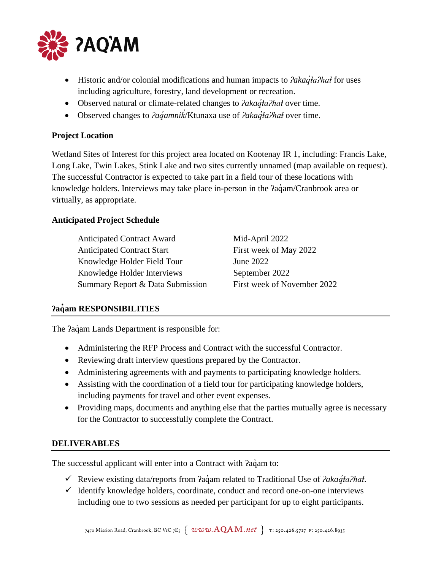

- Historic and/or colonial modifications and human impacts to *<i>Pakaq'*ła*Phał* for uses including agriculture, forestry, land development or recreation.
- Observed natural or climate-related changes to *<i>lakaq̓taʔhat* over time.
- Observed changes to *<i><i>ad* amnik/Ktunaxa use of *<i>?akad* ta?hat over time. *̓*

#### **Project Location**

Wetland Sites of Interest for this project area located on Kootenay IR 1, including: Francis Lake, Long Lake, Twin Lakes, Stink Lake and two sites currently unnamed (map available on request). The successful Contractor is expected to take part in a field tour of these locations with knowledge holders. Interviews may take place in-person in the  $2a\ddot{q}$ am/Cranbrook area or virtually, as appropriate.

#### **Anticipated Project Schedule**

| <b>Anticipated Contract Award</b> | Mid-April 2022              |
|-----------------------------------|-----------------------------|
| <b>Anticipated Contract Start</b> | First week of May 2022      |
| Knowledge Holder Field Tour       | June 2022                   |
| Knowledge Holder Interviews       | September 2022              |
| Summary Report & Data Submission  | First week of November 2022 |

#### **ʔaq̓am RESPONSIBILITIES**

The  $2a\dot{q}$ am Lands Department is responsible for:

- Administering the RFP Process and Contract with the successful Contractor.
- Reviewing draft interview questions prepared by the Contractor.
- Administering agreements with and payments to participating knowledge holders.
- Assisting with the coordination of a field tour for participating knowledge holders, including payments for travel and other event expenses.
- Providing maps, documents and anything else that the parties mutually agree is necessary for the Contractor to successfully complete the Contract.

#### **DELIVERABLES**

The successful applicant will enter into a Contract with  $2aq$  am to:

- ✓ Review existing data/reports from ʔaq̓ am related to Traditional Use of *ʔakaq̓ⱡaʔhaⱡ*.
- $\checkmark$  Identify knowledge holders, coordinate, conduct and record one-on-one interviews including one to two sessions as needed per participant for up to eight participants.